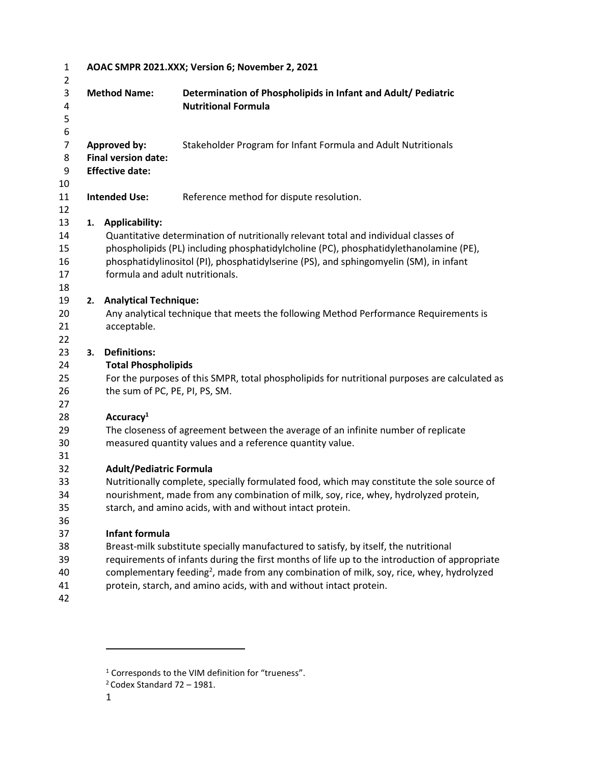| $\mathbf{1}$   |                                                                                                                                               | AOAC SMPR 2021.XXX; Version 6; November 2, 2021                                                                                                                                |                                                                                                     |  |  |  |  |  |  |  |
|----------------|-----------------------------------------------------------------------------------------------------------------------------------------------|--------------------------------------------------------------------------------------------------------------------------------------------------------------------------------|-----------------------------------------------------------------------------------------------------|--|--|--|--|--|--|--|
| 2<br>3         |                                                                                                                                               | <b>Method Name:</b>                                                                                                                                                            | Determination of Phospholipids in Infant and Adult/ Pediatric                                       |  |  |  |  |  |  |  |
| 4              |                                                                                                                                               |                                                                                                                                                                                | <b>Nutritional Formula</b>                                                                          |  |  |  |  |  |  |  |
| 5              |                                                                                                                                               |                                                                                                                                                                                |                                                                                                     |  |  |  |  |  |  |  |
| 6              |                                                                                                                                               |                                                                                                                                                                                |                                                                                                     |  |  |  |  |  |  |  |
| $\overline{7}$ |                                                                                                                                               | <b>Approved by:</b>                                                                                                                                                            | Stakeholder Program for Infant Formula and Adult Nutritionals                                       |  |  |  |  |  |  |  |
| 8              | <b>Final version date:</b>                                                                                                                    |                                                                                                                                                                                |                                                                                                     |  |  |  |  |  |  |  |
| 9              |                                                                                                                                               | <b>Effective date:</b>                                                                                                                                                         |                                                                                                     |  |  |  |  |  |  |  |
| 10             |                                                                                                                                               |                                                                                                                                                                                |                                                                                                     |  |  |  |  |  |  |  |
| 11             |                                                                                                                                               | <b>Intended Use:</b>                                                                                                                                                           | Reference method for dispute resolution.                                                            |  |  |  |  |  |  |  |
| 12             |                                                                                                                                               |                                                                                                                                                                                |                                                                                                     |  |  |  |  |  |  |  |
| 13             | 1.                                                                                                                                            | <b>Applicability:</b>                                                                                                                                                          |                                                                                                     |  |  |  |  |  |  |  |
| 14<br>15       |                                                                                                                                               |                                                                                                                                                                                | Quantitative determination of nutritionally relevant total and individual classes of                |  |  |  |  |  |  |  |
| 16             |                                                                                                                                               | phospholipids (PL) including phosphatidylcholine (PC), phosphatidylethanolamine (PE),<br>phosphatidylinositol (PI), phosphatidylserine (PS), and sphingomyelin (SM), in infant |                                                                                                     |  |  |  |  |  |  |  |
| 17             |                                                                                                                                               |                                                                                                                                                                                | formula and adult nutritionals.                                                                     |  |  |  |  |  |  |  |
| 18             |                                                                                                                                               |                                                                                                                                                                                |                                                                                                     |  |  |  |  |  |  |  |
| 19             | 2.                                                                                                                                            | <b>Analytical Technique:</b>                                                                                                                                                   |                                                                                                     |  |  |  |  |  |  |  |
| 20             |                                                                                                                                               | Any analytical technique that meets the following Method Performance Requirements is                                                                                           |                                                                                                     |  |  |  |  |  |  |  |
| 21             |                                                                                                                                               | acceptable.                                                                                                                                                                    |                                                                                                     |  |  |  |  |  |  |  |
| 22             |                                                                                                                                               |                                                                                                                                                                                |                                                                                                     |  |  |  |  |  |  |  |
| 23             | 3.                                                                                                                                            | <b>Definitions:</b>                                                                                                                                                            |                                                                                                     |  |  |  |  |  |  |  |
| 24             |                                                                                                                                               | <b>Total Phospholipids</b>                                                                                                                                                     |                                                                                                     |  |  |  |  |  |  |  |
| 25             |                                                                                                                                               | For the purposes of this SMPR, total phospholipids for nutritional purposes are calculated as                                                                                  |                                                                                                     |  |  |  |  |  |  |  |
| 26             |                                                                                                                                               | the sum of PC, PE, PI, PS, SM.                                                                                                                                                 |                                                                                                     |  |  |  |  |  |  |  |
| 27             |                                                                                                                                               |                                                                                                                                                                                |                                                                                                     |  |  |  |  |  |  |  |
| 28<br>29       |                                                                                                                                               | Accuracy <sup>1</sup>                                                                                                                                                          |                                                                                                     |  |  |  |  |  |  |  |
| 30             | The closeness of agreement between the average of an infinite number of replicate<br>measured quantity values and a reference quantity value. |                                                                                                                                                                                |                                                                                                     |  |  |  |  |  |  |  |
| 31             |                                                                                                                                               |                                                                                                                                                                                |                                                                                                     |  |  |  |  |  |  |  |
| 32             |                                                                                                                                               | <b>Adult/Pediatric Formula</b>                                                                                                                                                 |                                                                                                     |  |  |  |  |  |  |  |
| 33             | Nutritionally complete, specially formulated food, which may constitute the sole source of                                                    |                                                                                                                                                                                |                                                                                                     |  |  |  |  |  |  |  |
| 34             |                                                                                                                                               |                                                                                                                                                                                | nourishment, made from any combination of milk, soy, rice, whey, hydrolyzed protein,                |  |  |  |  |  |  |  |
| 35             |                                                                                                                                               |                                                                                                                                                                                | starch, and amino acids, with and without intact protein.                                           |  |  |  |  |  |  |  |
| 36             |                                                                                                                                               |                                                                                                                                                                                |                                                                                                     |  |  |  |  |  |  |  |
| 37             |                                                                                                                                               | Infant formula                                                                                                                                                                 |                                                                                                     |  |  |  |  |  |  |  |
| 38             |                                                                                                                                               |                                                                                                                                                                                | Breast-milk substitute specially manufactured to satisfy, by itself, the nutritional                |  |  |  |  |  |  |  |
| 39             |                                                                                                                                               |                                                                                                                                                                                | requirements of infants during the first months of life up to the introduction of appropriate       |  |  |  |  |  |  |  |
| 40             |                                                                                                                                               |                                                                                                                                                                                | complementary feeding <sup>2</sup> , made from any combination of milk, soy, rice, whey, hydrolyzed |  |  |  |  |  |  |  |
| 41             |                                                                                                                                               |                                                                                                                                                                                | protein, starch, and amino acids, with and without intact protein.                                  |  |  |  |  |  |  |  |
| 42             |                                                                                                                                               |                                                                                                                                                                                |                                                                                                     |  |  |  |  |  |  |  |

<sup>&</sup>lt;sup>1</sup> Corresponds to the VIM definition for "trueness".

Codex Standard 72 – 1981.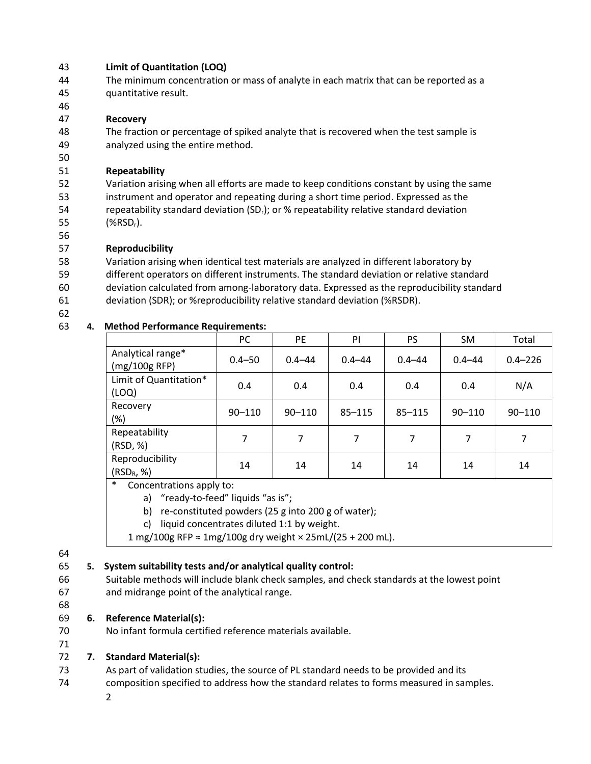#### **Limit of Quantitation (LOQ)**

- The minimum concentration or mass of analyte in each matrix that can be reported as a quantitative result.
- 
- **Recovery**
- The fraction or percentage of spiked analyte that is recovered when the test sample is analyzed using the entire method.

## **Repeatability**

 Variation arising when all efforts are made to keep conditions constant by using the same instrument and operator and repeating during a short time period. Expressed as the 54 repeatability standard deviation (SD<sub>r</sub>); or % repeatability relative standard deviation  $(%RSD_r)$ .

## **Reproducibility**

Variation arising when identical test materials are analyzed in different laboratory by

different operators on different instruments. The standard deviation or relative standard

deviation calculated from among-laboratory data. Expressed as the reproducibility standard

- deviation (SDR); or %reproducibility relative standard deviation (%RSDR).
- 

## **4. Method Performance Requirements:**

|                                    | PC         | <b>PE</b>  | PI         | PS         | <b>SM</b>  | Total       |
|------------------------------------|------------|------------|------------|------------|------------|-------------|
| Analytical range*<br>(mg/100g RFP) | $0.4 - 50$ | $0.4 - 44$ | $0.4 - 44$ | $0.4 - 44$ | $0.4 - 44$ | $0.4 - 226$ |
| Limit of Quantitation*<br>(LOQ)    | 0.4        | 0.4        | 0.4        | 0.4        | 0.4        | N/A         |
| Recovery<br>(%)                    | $90 - 110$ | $90 - 110$ | $85 - 115$ | $85 - 115$ | $90 - 110$ | $90 - 110$  |
| Repeatability<br>(RSD, %)          |            | 7          | 7          |            | 7          | 7           |
| Reproducibility<br>$(RSD_R, %)$    | 14         | 14         | 14         | 14         | 14         | 14          |

Concentrations apply to:

a) "ready-to-feed" liquids "as is";

b) re-constituted powders (25 g into 200 g of water);

c) liquid concentrates diluted 1:1 by weight.

1 mg/100g RFP ≈ 1mg/100g dry weight × 25mL/(25 + 200 mL).

#### 

# **5. System suitability tests and/or analytical quality control:**

- Suitable methods will include blank check samples, and check standards at the lowest point and midrange point of the analytical range.
- 

## **6. Reference Material(s):**

No infant formula certified reference materials available.

## 

# **7. Standard Material(s):**

- As part of validation studies, the source of PL standard needs to be provided and its
- composition specified to address how the standard relates to forms measured in samples.
	-